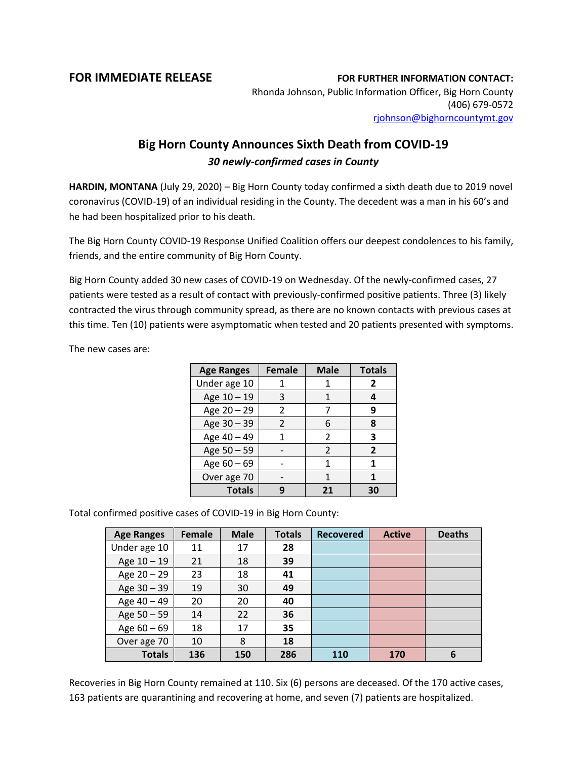## **FOR IMMEDIATE RELEASE FOR FURTHER INFORMATION CONTACT:**

Rhonda Johnson, Public Information Officer, Big Horn County (406) 679-0572 [rjohnson@bighorncountymt.gov](mailto:rjohnson@bighorncountymt.gov)

## **Big Horn County Announces Sixth Death from COVID-19** *30 newly-confirmed cases in County*

**HARDIN, MONTANA** (July 29, 2020) – Big Horn County today confirmed a sixth death due to 2019 novel coronavirus (COVID-19) of an individual residing in the County. The decedent was a man in his 60's and he had been hospitalized prior to his death.

The Big Horn County COVID-19 Response Unified Coalition offers our deepest condolences to his family, friends, and the entire community of Big Horn County.

Big Horn County added 30 new cases of COVID-19 on Wednesday. Of the newly-confirmed cases, 27 patients were tested as a result of contact with previously-confirmed positive patients. Three (3) likely contracted the virus through community spread, as there are no known contacts with previous cases at this time. Ten (10) patients were asymptomatic when tested and 20 patients presented with symptoms.

The new cases are:

| <b>Age Ranges</b> | <b>Female</b>  | <b>Male</b>   | <b>Totals</b>  |
|-------------------|----------------|---------------|----------------|
| Under age 10      |                |               | 2              |
| Age 10 - 19       | 3              | 1             |                |
| Age 20 - 29       | $\mathfrak{p}$ |               | q              |
| Age 30 - 39       | $\mathcal{P}$  | 6             | 8              |
| Age 40 - 49       | 1              | $\mathcal{P}$ | 3              |
| Age 50 - 59       |                | $\mathcal{P}$ | $\overline{2}$ |
| Age 60 - 69       |                | 1             | 1              |
| Over age 70       |                | 1             | 1              |
| <b>Totals</b>     |                | 21            | 30             |

Total confirmed positive cases of COVID-19 in Big Horn County:

| <b>Age Ranges</b> | Female | <b>Male</b> | <b>Totals</b> | <b>Recovered</b> | <b>Active</b> | <b>Deaths</b> |
|-------------------|--------|-------------|---------------|------------------|---------------|---------------|
| Under age 10      | 11     | 17          | 28            |                  |               |               |
| Age 10 - 19       | 21     | 18          | 39            |                  |               |               |
| Age $20 - 29$     | 23     | 18          | 41            |                  |               |               |
| Age 30 - 39       | 19     | 30          | 49            |                  |               |               |
| Age 40 - 49       | 20     | 20          | 40            |                  |               |               |
| Age $50 - 59$     | 14     | 22          | 36            |                  |               |               |
| Age $60 - 69$     | 18     | 17          | 35            |                  |               |               |
| Over age 70       | 10     | 8           | 18            |                  |               |               |
| <b>Totals</b>     | 136    | 150         | 286           | 110              | 170           | 6             |

Recoveries in Big Horn County remained at 110. Six (6) persons are deceased. Of the 170 active cases, 163 patients are quarantining and recovering at home, and seven (7) patients are hospitalized.